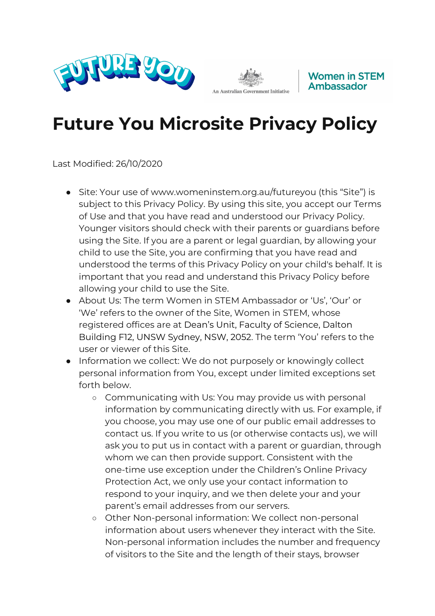





## **Future You Microsite Privacy Policy**

Last Modified: 26/10/2020

- Site: Your use of www.womeninstem.org.au/futureyou (this "Site") is subject to this Privacy Policy. By using this site, you accept our Terms of Use and that you have read and understood our Privacy Policy. Younger visitors should check with their parents or guardians before using the Site. If you are a parent or legal guardian, by allowing your child to use the Site, you are confirming that you have read and understood the terms of this Privacy Policy on your child's behalf. It is important that you read and understand this Privacy Policy before allowing your child to use the Site.
- About Us: The term Women in STEM Ambassador or 'Us', 'Our' or 'We' refers to the owner of the Site, Women in STEM, whose registered offices are at Dean's Unit, Faculty of Science, Dalton Building F12, UNSW Sydney, NSW, 2052. The term 'You' refers to the user or viewer of this Site.
- Information we collect: We do not purposely or knowingly collect personal information from You, except under limited exceptions set forth below.
	- Communicating with Us: You may provide us with personal information by communicating directly with us. For example, if you choose, you may use one of our public email addresses to contact us. If you write to us (or otherwise contacts us), we will ask you to put us in contact with a parent or guardian, through whom we can then provide support. Consistent with the one-time use exception under the Children's Online Privacy Protection Act, we only use your contact information to respond to your inquiry, and we then delete your and your parent's email addresses from our servers.
	- Other Non-personal information: We collect non-personal information about users whenever they interact with the Site. Non-personal information includes the number and frequency of visitors to the Site and the length of their stays, browser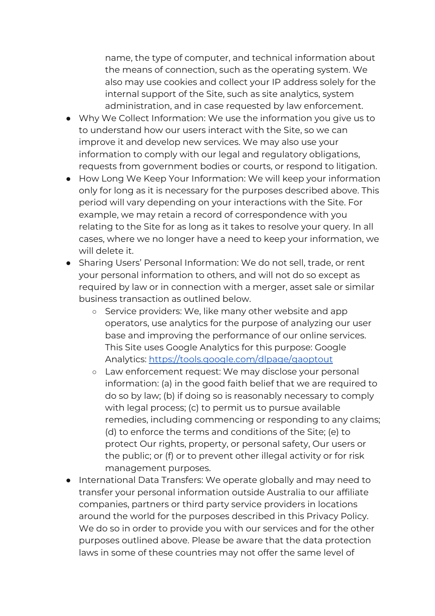name, the type of computer, and technical information about the means of connection, such as the operating system. We also may use cookies and collect your IP address solely for the internal support of the Site, such as site analytics, system administration, and in case requested by law enforcement.

- Why We Collect Information: We use the information you give us to to understand how our users interact with the Site, so we can improve it and develop new services. We may also use your information to comply with our legal and regulatory obligations, requests from government bodies or courts, or respond to litigation.
- How Long We Keep Your Information: We will keep your information only for long as it is necessary for the purposes described above. This period will vary depending on your interactions with the Site. For example, we may retain a record of correspondence with you relating to the Site for as long as it takes to resolve your query. In all cases, where we no longer have a need to keep your information, we will delete it.
- Sharing Users' Personal Information: We do not sell, trade, or rent your personal information to others, and will not do so except as required by law or in connection with a merger, asset sale or similar business transaction as outlined below.
	- o Service providers: We, like many other website and app operators, use analytics for the purpose of analyzing our user base and improving the performance of our online services. This Site uses Google Analytics for this purpose: Google Analytics: <https://tools.google.com/dlpage/gaoptout>
	- Law enforcement request: We may disclose your personal information: (a) in the good faith belief that we are required to do so by law; (b) if doing so is reasonably necessary to comply with legal process; (c) to permit us to pursue available remedies, including commencing or responding to any claims; (d) to enforce the terms and conditions of the Site; (e) to protect Our rights, property, or personal safety, Our users or the public; or (f) or to prevent other illegal activity or for risk management purposes.
- International Data Transfers: We operate globally and may need to transfer your personal information outside Australia to our affiliate companies, partners or third party service providers in locations around the world for the purposes described in this Privacy Policy. We do so in order to provide you with our services and for the other purposes outlined above. Please be aware that the data protection laws in some of these countries may not offer the same level of